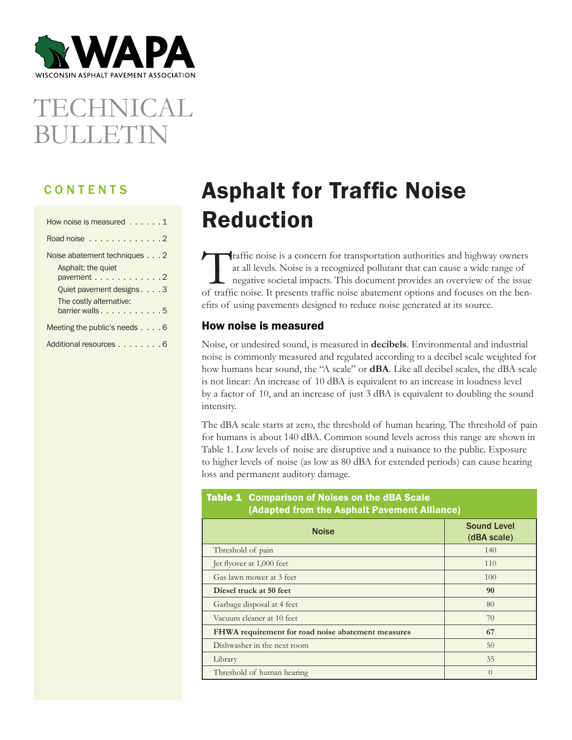

# TECHNICAL BULLETIN

## CONTENTS

| How noise is measured $\dots$ , $\dots$    |
|--------------------------------------------|
| Road noise $\ldots \ldots \ldots \ldots 2$ |
| Noise abatement techniques 2               |
| Asphalt: the quiet                         |
| pavement 2                                 |
| Quiet pavement designs 3                   |
| The costly alternative:                    |
| barrier walls5                             |
| Meeting the public's needs $\ldots$ . 6    |
| Additional resources 6                     |

## Asphalt for Traffic Noise Reduction

Traffic noise is a concern for transportation authorities and highway owners at all levels. Noise is a recognized pollutant that can cause a wide range of negative societal impacts. This document provides an overview of the issue of traffic noise. It presents traffic noise abatement options and focuses on the benefits of using pavements designed to reduce noise generated at its source.

## How noise is measured

Noise, or undesired sound, is measured in **decibels**. Environmental and industrial noise is commonly measured and regulated according to a decibel scale weighted for how humans hear sound, the "A scale" or **dBA**. Like all decibel scales, the dBA scale is not linear: An increase of 10 dBA is equivalent to an increase in loudness level by a factor of 10, and an increase of just 3 dBA is equivalent to doubling the sound intensity.

The dBA scale starts at zero, the threshold of human hearing. The threshold of pain for humans is about 140 dBA. Common sound levels across this range are shown in Table 1. Low levels of noise are disruptive and a nuisance to the public. Exposure to higher levels of noise (as low as 80 dBA for extended periods) can cause hearing loss and permanent auditory damage.

## Table 1 Comparison of Noises on the dBA Scale (Adapted from the Asphalt Pavement Alliance)

| <b>Noise</b>                                       | <b>Sound Level</b><br>(dBA scale) |
|----------------------------------------------------|-----------------------------------|
| Threshold of pain                                  | 140                               |
| Jet flyover at 1,000 feet                          | 110                               |
| Gas lawn mower at 3 feet                           | 100                               |
| Diesel truck at 50 feet                            | 90                                |
| Garbage disposal at 4 feet                         | 80                                |
| Vacuum cleaner at 10 feet                          | 70                                |
| FHWA requirement for road noise abatement measures | 67                                |
| Dishwasher in the next room                        | 50                                |
| Library                                            | 35                                |
| Threshold of human hearing                         | $\left($                          |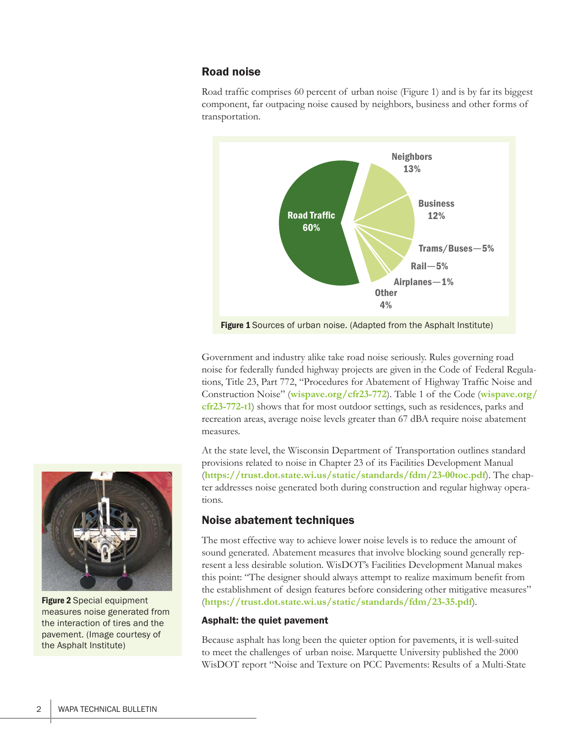## Road noise

Road traffic comprises 60 percent of urban noise (Figure 1) and is by far its biggest component, far outpacing noise caused by neighbors, business and other forms of transportation.



Government and industry alike take road noise seriously. Rules governing road noise for federally funded highway projects are given in the Code of Federal Regulations, Title 23, Part 772, "Procedures for Abatement of Highway Traffic Noise and Construction Noise" (**[wispave.org/cfr23-772](http://wispave.org/cfr23-772)**). Table 1 of the Code (**[wispave.org/](http://wispave.org/cfr23-772-t1) [cfr23-772-t1](http://wispave.org/cfr23-772-t1)**) shows that for most outdoor settings, such as residences, parks and recreation areas, average noise levels greater than 67 dBA require noise abatement measures.

At the state level, the Wisconsin Department of Transportation outlines standard provisions related to noise in Chapter 23 of its Facilities Development Manual (**<https://trust.dot.state.wi.us/static/standards/fdm/23-00toc.pdf>**). The chapter addresses noise generated both during construction and regular highway operations.

## Noise abatement techniques

The most effective way to achieve lower noise levels is to reduce the amount of sound generated. Abatement measures that involve blocking sound generally represent a less desirable solution. WisDOT's Facilities Development Manual makes this point: "The designer should always attempt to realize maximum benefit from the establishment of design features before considering other mitigative measures" (**<https://trust.dot.state.wi.us/static/standards/fdm/23-35.pdf>**).

## Asphalt: the quiet pavement

Because asphalt has long been the quieter option for pavements, it is well-suited to meet the challenges of urban noise. Marquette University published the 2000 WisDOT report "Noise and Texture on PCC Pavements: Results of a Multi-State



Figure 2 Special equipment measures noise generated from the interaction of tires and the pavement. (Image courtesy of the Asphalt Institute)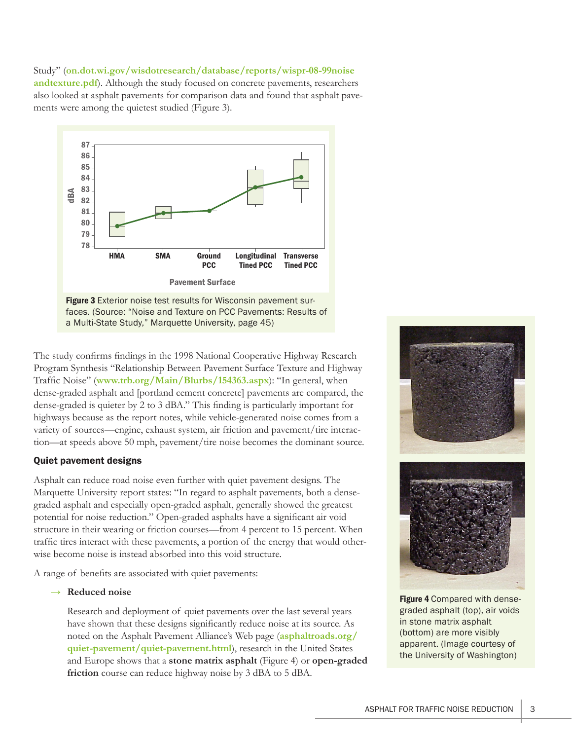## Study" (**[on.dot.wi.gov/wisdotresearch/database/reports/wispr-08-99noise](http://on.dot.wi.gov/wisdotresearch/database/reports/wispr-08-99noiseandtexture.pdf)**

**[andtexture.pdf](http://on.dot.wi.gov/wisdotresearch/database/reports/wispr-08-99noiseandtexture.pdf)**). Although the study focused on concrete pavements, researchers also looked at asphalt pavements for comparison data and found that asphalt pavements were among the quietest studied (Figure 3).



a Multi-State Study," Marquette University, page 45)

The study confirms findings in the 1998 National Cooperative Highway Research Program Synthesis "Relationship Between Pavement Surface Texture and Highway Traffic Noise" (**[www.trb.org/Main/Blurbs/154363.aspx](http://www.trb.org/Main/Blurbs/154363.aspx)**): "In general, when dense-graded asphalt and [portland cement concrete] pavements are compared, the dense-graded is quieter by 2 to 3 dBA." This finding is particularly important for highways because as the report notes, while vehicle-generated noise comes from a variety of sources—engine, exhaust system, air friction and pavement/tire interaction—at speeds above 50 mph, pavement/tire noise becomes the dominant source.

## Quiet pavement designs

Asphalt can reduce road noise even further with quiet pavement designs. The Marquette University report states: "In regard to asphalt pavements, both a densegraded asphalt and especially open-graded asphalt, generally showed the greatest potential for noise reduction." Open-graded asphalts have a significant air void structure in their wearing or friction courses—from 4 percent to 15 percent. When traffic tires interact with these pavements, a portion of the energy that would otherwise become noise is instead absorbed into this void structure.

A range of benefits are associated with quiet pavements:

#### **→ Reduced noise**

Research and deployment of quiet pavements over the last several years have shown that these designs significantly reduce noise at its source. As noted on the Asphalt Pavement Alliance's Web page (**[asphaltroads.org/](http://asphaltroads.org/quiet-pavement/quiet-pavement.html) [quiet-pavement/quiet-pavement.html](http://asphaltroads.org/quiet-pavement/quiet-pavement.html)**), research in the United States and Europe shows that a **stone matrix asphalt** (Figure 4) or **open-graded friction** course can reduce highway noise by 3 dBA to 5 dBA.



**Figure 4 Compared with dense**graded asphalt (top), air voids in stone matrix asphalt (bottom) are more visibly apparent. (Image courtesy of the University of Washington)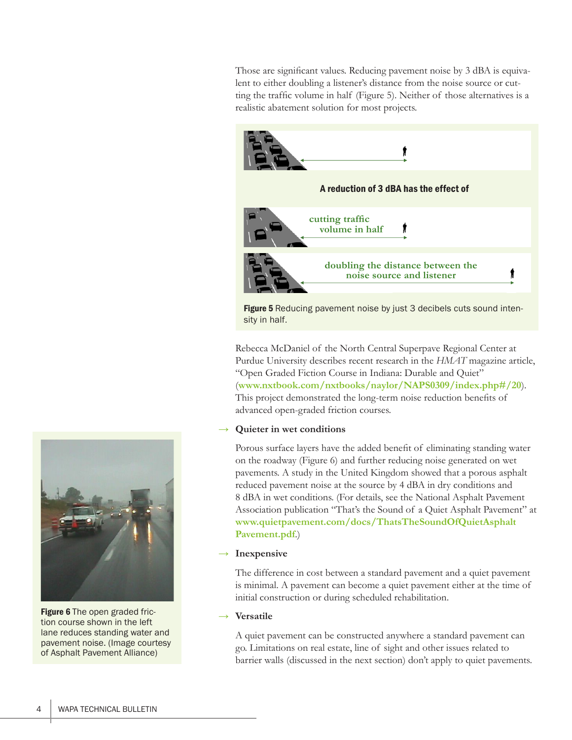Those are significant values. Reducing pavement noise by 3 dBA is equivalent to either doubling a listener's distance from the noise source or cutting the traffic volume in half (Figure 5). Neither of those alternatives is a realistic abatement solution for most projects.



Figure 5 Reducing pavement noise by just 3 decibels cuts sound intensity in half.

Rebecca McDaniel of the North Central Superpave Regional Center at Purdue University describes recent research in the *HMAT* magazine article, "Open Graded Fiction Course in Indiana: Durable and Quiet" (**[www.nxtbook.com/nxtbooks/naylor/NAPS0309/index.php#/20](http://www.nxtbook.com/nxtbooks/naylor/NAPS0309/index.php#/20)**). This project demonstrated the long-term noise reduction benefits of advanced open-graded friction courses.

## **→ Quieter in wet conditions**

Porous surface layers have the added benefit of eliminating standing water on the roadway (Figure 6) and further reducing noise generated on wet pavements. A study in the United Kingdom showed that a porous asphalt reduced pavement noise at the source by 4 dBA in dry conditions and 8 dBA in wet conditions. (For details, see the National Asphalt Pavement Association publication "That's the Sound of a Quiet Asphalt Pavement" at **[www.quietpavement.com/docs/ThatsTheSoundOfQuietAsphalt](http://www.quietpavement.com/docs/ThatsTheSoundOfQuietAsphaltPavement.pdf) [Pavement.pdf](http://www.quietpavement.com/docs/ThatsTheSoundOfQuietAsphaltPavement.pdf)**.)

#### **→ Inexpensive**

The difference in cost between a standard pavement and a quiet pavement is minimal. A pavement can become a quiet pavement either at the time of initial construction or during scheduled rehabilitation.

#### **→ Versatile**

A quiet pavement can be constructed anywhere a standard pavement can go. Limitations on real estate, line of sight and other issues related to barrier walls (discussed in the next section) don't apply to quiet pavements.



Figure 6 The open graded friction course shown in the left lane reduces standing water and pavement noise. (Image courtesy of Asphalt Pavement Alliance)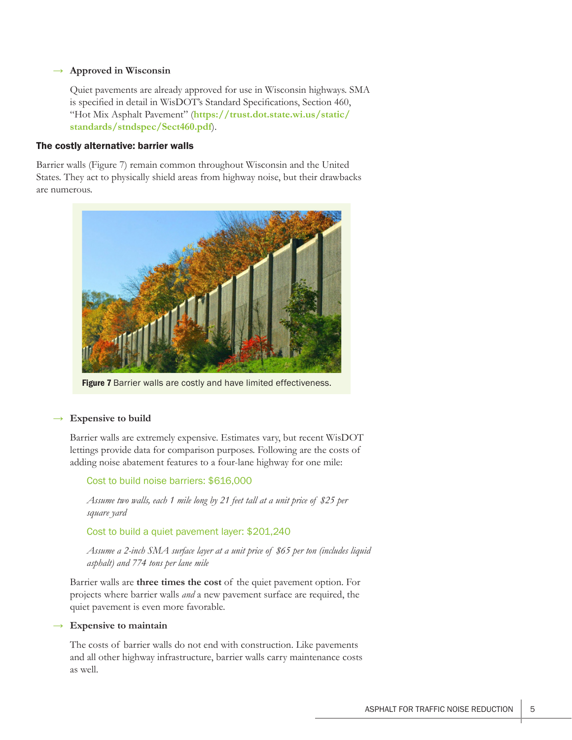#### **→ Approved in Wisconsin**

Quiet pavements are already approved for use in Wisconsin highways. SMA is specified in detail in WisDOT's Standard Specifications, Section 460, "Hot Mix Asphalt Pavement" (**[https://trust.dot.state.wi.us/static/](https://trust.dot.state.wi.us/static/standards/stndspec/Sect460.pdf) [standards/stndspec/Sect460.pdf](https://trust.dot.state.wi.us/static/standards/stndspec/Sect460.pdf)**).

#### The costly alternative: barrier walls

Barrier walls (Figure 7) remain common throughout Wisconsin and the United States. They act to physically shield areas from highway noise, but their drawbacks are numerous.



Figure 7 Barrier walls are costly and have limited effectiveness.

#### **→ Expensive to build**

Barrier walls are extremely expensive. Estimates vary, but recent WisDOT lettings provide data for comparison purposes. Following are the costs of adding noise abatement features to a four-lane highway for one mile:

Cost to build noise barriers: \$616,000

*Assume two walls, each 1 mile long by 21 feet tall at a unit price of \$25 per square yard*

Cost to build a quiet pavement layer: \$201,240

*Assume a 2-inch SMA surface layer at a unit price of \$65 per ton (includes liquid asphalt) and 774 tons per lane mile*

Barrier walls are **three times the cost** of the quiet pavement option. For projects where barrier walls *and* a new pavement surface are required, the quiet pavement is even more favorable.

#### **→ Expensive to maintain**

The costs of barrier walls do not end with construction. Like pavements and all other highway infrastructure, barrier walls carry maintenance costs as well.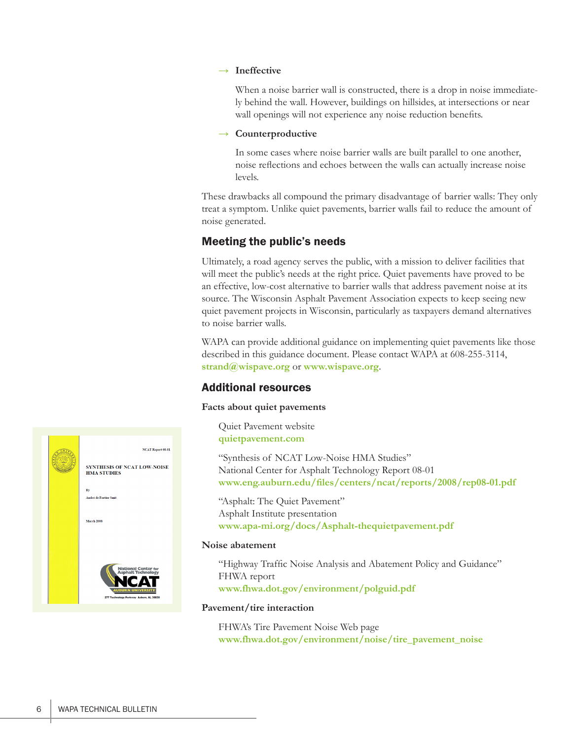#### **→ Ineffective**

When a noise barrier wall is constructed, there is a drop in noise immediately behind the wall. However, buildings on hillsides, at intersections or near wall openings will not experience any noise reduction benefits.

#### **→ Counterproductive**

In some cases where noise barrier walls are built parallel to one another, noise reflections and echoes between the walls can actually increase noise levels.

These drawbacks all compound the primary disadvantage of barrier walls: They only treat a symptom. Unlike quiet pavements, barrier walls fail to reduce the amount of noise generated.

### Meeting the public's needs

Ultimately, a road agency serves the public, with a mission to deliver facilities that will meet the public's needs at the right price. Quiet pavements have proved to be an effective, low-cost alternative to barrier walls that address pavement noise at its source. The Wisconsin Asphalt Pavement Association expects to keep seeing new quiet pavement projects in Wisconsin, particularly as taxpayers demand alternatives to noise barrier walls.

WAPA can provide additional guidance on implementing quiet pavements like those described in this guidance document. Please contact WAPA at 608-255-3114, **[strand@wispave.org](mailto:strand%40wispave.org?subject=)** or **[www.wispave.org](http://www.wispave.org)**.

## Additional resources

#### **Facts about quiet pavements**

Quiet Pavement website **[quietpavement.com](http://quietpavement.com)**

"Synthesis of NCAT Low-Noise HMA Studies" National Center for Asphalt Technology Report 08-01 **[www.eng.auburn.edu/files/centers/ncat/reports/2008/rep08-01.pdf](http://www.eng.auburn.edu/files/centers/ncat/reports/2008/rep08-01.pdf)**

"Asphalt: The Quiet Pavement" Asphalt Institute presentation **[www.apa-mi.org/docs/Asphalt-thequietpavement.pdf](http://www.apa-mi.org/docs/Asphalt-thequietpavement.pdf)**

#### **Noise abatement**

"Highway Traffic Noise Analysis and Abatement Policy and Guidance" FHWA report **[www.fhwa.dot.gov/environment/polguid.pdf](http://www.fhwa.dot.gov/environment/polguid.pdf)**

#### Pavement/tire interaction

FHWA's Tire Pavement Noise Web page **[www.fhwa.dot.gov/environment/noise/tire\\_pavement\\_noise](http://www.fhwa.dot.gov/environment/noise/tire_pavement_noise)**